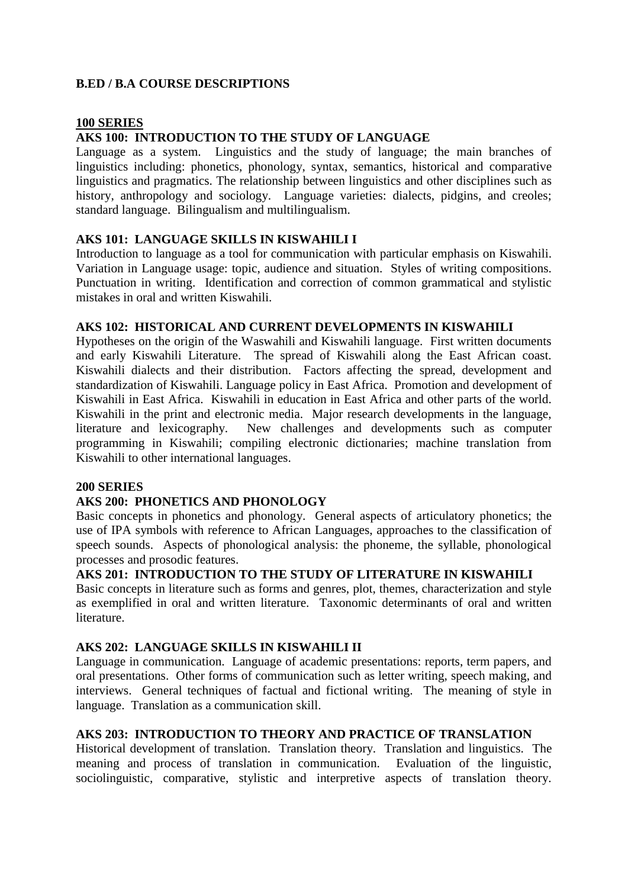## **B.ED / B.A COURSE DESCRIPTIONS**

#### **100 SERIES**

### **AKS 100: INTRODUCTION TO THE STUDY OF LANGUAGE**

Language as a system. Linguistics and the study of language; the main branches of linguistics including: phonetics, phonology, syntax, semantics, historical and comparative linguistics and pragmatics. The relationship between linguistics and other disciplines such as history, anthropology and sociology. Language varieties: dialects, pidgins, and creoles; standard language. Bilingualism and multilingualism.

### **AKS 101: LANGUAGE SKILLS IN KISWAHILI I**

Introduction to language as a tool for communication with particular emphasis on Kiswahili. Variation in Language usage: topic, audience and situation. Styles of writing compositions. Punctuation in writing. Identification and correction of common grammatical and stylistic mistakes in oral and written Kiswahili.

### **AKS 102: HISTORICAL AND CURRENT DEVELOPMENTS IN KISWAHILI**

Hypotheses on the origin of the Waswahili and Kiswahili language. First written documents and early Kiswahili Literature. The spread of Kiswahili along the East African coast. Kiswahili dialects and their distribution. Factors affecting the spread, development and standardization of Kiswahili. Language policy in East Africa. Promotion and development of Kiswahili in East Africa. Kiswahili in education in East Africa and other parts of the world. Kiswahili in the print and electronic media. Major research developments in the language, literature and lexicography. New challenges and developments such as computer programming in Kiswahili; compiling electronic dictionaries; machine translation from Kiswahili to other international languages.

### **200 SERIES**

### **AKS 200: PHONETICS AND PHONOLOGY**

Basic concepts in phonetics and phonology. General aspects of articulatory phonetics; the use of IPA symbols with reference to African Languages, approaches to the classification of speech sounds. Aspects of phonological analysis: the phoneme, the syllable, phonological processes and prosodic features.

### **AKS 201: INTRODUCTION TO THE STUDY OF LITERATURE IN KISWAHILI**

Basic concepts in literature such as forms and genres, plot, themes, characterization and style as exemplified in oral and written literature. Taxonomic determinants of oral and written literature.

### **AKS 202: LANGUAGE SKILLS IN KISWAHILI II**

Language in communication. Language of academic presentations: reports, term papers, and oral presentations. Other forms of communication such as letter writing, speech making, and interviews. General techniques of factual and fictional writing. The meaning of style in language. Translation as a communication skill.

# **AKS 203: INTRODUCTION TO THEORY AND PRACTICE OF TRANSLATION**

Historical development of translation. Translation theory. Translation and linguistics. The meaning and process of translation in communication. Evaluation of the linguistic, sociolinguistic, comparative, stylistic and interpretive aspects of translation theory.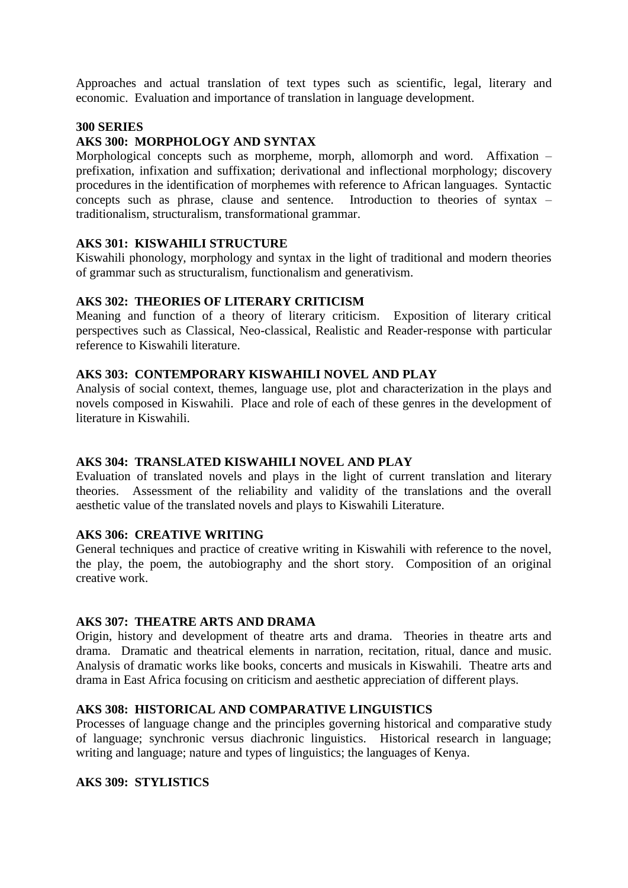Approaches and actual translation of text types such as scientific, legal, literary and economic. Evaluation and importance of translation in language development.

### **300 SERIES**

# **AKS 300: MORPHOLOGY AND SYNTAX**

Morphological concepts such as morpheme, morph, allomorph and word. Affixation – prefixation, infixation and suffixation; derivational and inflectional morphology; discovery procedures in the identification of morphemes with reference to African languages. Syntactic concepts such as phrase, clause and sentence. Introduction to theories of syntax – traditionalism, structuralism, transformational grammar.

### **AKS 301: KISWAHILI STRUCTURE**

Kiswahili phonology, morphology and syntax in the light of traditional and modern theories of grammar such as structuralism, functionalism and generativism.

### **AKS 302: THEORIES OF LITERARY CRITICISM**

Meaning and function of a theory of literary criticism. Exposition of literary critical perspectives such as Classical, Neo-classical, Realistic and Reader-response with particular reference to Kiswahili literature.

### **AKS 303: CONTEMPORARY KISWAHILI NOVEL AND PLAY**

Analysis of social context, themes, language use, plot and characterization in the plays and novels composed in Kiswahili. Place and role of each of these genres in the development of literature in Kiswahili.

### **AKS 304: TRANSLATED KISWAHILI NOVEL AND PLAY**

Evaluation of translated novels and plays in the light of current translation and literary theories. Assessment of the reliability and validity of the translations and the overall aesthetic value of the translated novels and plays to Kiswahili Literature.

### **AKS 306: CREATIVE WRITING**

General techniques and practice of creative writing in Kiswahili with reference to the novel, the play, the poem, the autobiography and the short story. Composition of an original creative work.

### **AKS 307: THEATRE ARTS AND DRAMA**

Origin, history and development of theatre arts and drama. Theories in theatre arts and drama. Dramatic and theatrical elements in narration, recitation, ritual, dance and music. Analysis of dramatic works like books, concerts and musicals in Kiswahili. Theatre arts and drama in East Africa focusing on criticism and aesthetic appreciation of different plays.

### **AKS 308: HISTORICAL AND COMPARATIVE LINGUISTICS**

Processes of language change and the principles governing historical and comparative study of language; synchronic versus diachronic linguistics. Historical research in language; writing and language; nature and types of linguistics; the languages of Kenya.

## **AKS 309: STYLISTICS**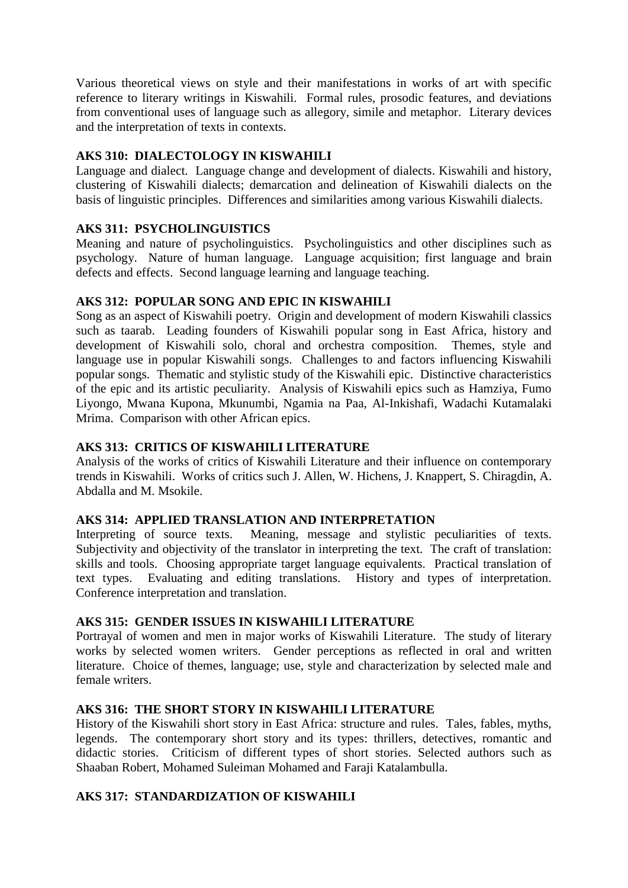Various theoretical views on style and their manifestations in works of art with specific reference to literary writings in Kiswahili. Formal rules, prosodic features, and deviations from conventional uses of language such as allegory, simile and metaphor. Literary devices and the interpretation of texts in contexts.

## **AKS 310: DIALECTOLOGY IN KISWAHILI**

Language and dialect. Language change and development of dialects. Kiswahili and history, clustering of Kiswahili dialects; demarcation and delineation of Kiswahili dialects on the basis of linguistic principles. Differences and similarities among various Kiswahili dialects.

# **AKS 311: PSYCHOLINGUISTICS**

Meaning and nature of psycholinguistics. Psycholinguistics and other disciplines such as psychology. Nature of human language. Language acquisition; first language and brain defects and effects. Second language learning and language teaching.

# **AKS 312: POPULAR SONG AND EPIC IN KISWAHILI**

Song as an aspect of Kiswahili poetry. Origin and development of modern Kiswahili classics such as taarab. Leading founders of Kiswahili popular song in East Africa, history and development of Kiswahili solo, choral and orchestra composition. Themes, style and language use in popular Kiswahili songs. Challenges to and factors influencing Kiswahili popular songs. Thematic and stylistic study of the Kiswahili epic. Distinctive characteristics of the epic and its artistic peculiarity. Analysis of Kiswahili epics such as Hamziya, Fumo Liyongo, Mwana Kupona, Mkunumbi, Ngamia na Paa, Al-Inkishafi, Wadachi Kutamalaki Mrima. Comparison with other African epics.

## **AKS 313: CRITICS OF KISWAHILI LITERATURE**

Analysis of the works of critics of Kiswahili Literature and their influence on contemporary trends in Kiswahili. Works of critics such J. Allen, W. Hichens, J. Knappert, S. Chiragdin, A. Abdalla and M. Msokile.

### **AKS 314: APPLIED TRANSLATION AND INTERPRETATION**

Interpreting of source texts. Meaning, message and stylistic peculiarities of texts. Subjectivity and objectivity of the translator in interpreting the text. The craft of translation: skills and tools. Choosing appropriate target language equivalents. Practical translation of text types. Evaluating and editing translations. History and types of interpretation. Conference interpretation and translation.

### **AKS 315: GENDER ISSUES IN KISWAHILI LITERATURE**

Portrayal of women and men in major works of Kiswahili Literature. The study of literary works by selected women writers. Gender perceptions as reflected in oral and written literature. Choice of themes, language; use, style and characterization by selected male and female writers.

# **AKS 316: THE SHORT STORY IN KISWAHILI LITERATURE**

History of the Kiswahili short story in East Africa: structure and rules. Tales, fables, myths, legends. The contemporary short story and its types: thrillers, detectives, romantic and didactic stories. Criticism of different types of short stories. Selected authors such as Shaaban Robert, Mohamed Suleiman Mohamed and Faraji Katalambulla.

# **AKS 317: STANDARDIZATION OF KISWAHILI**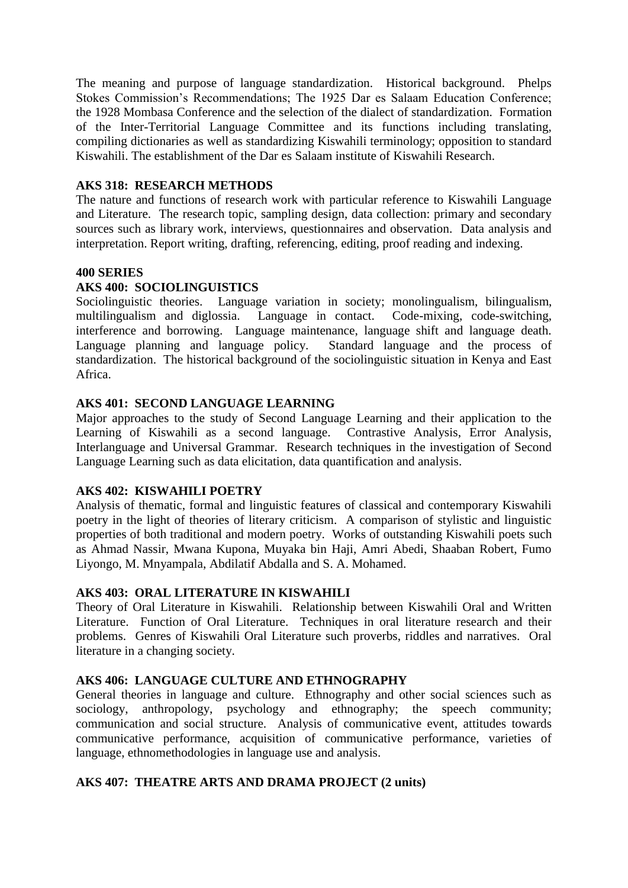The meaning and purpose of language standardization. Historical background. Phelps Stokes Commission's Recommendations; The 1925 Dar es Salaam Education Conference; the 1928 Mombasa Conference and the selection of the dialect of standardization. Formation of the Inter-Territorial Language Committee and its functions including translating, compiling dictionaries as well as standardizing Kiswahili terminology; opposition to standard Kiswahili. The establishment of the Dar es Salaam institute of Kiswahili Research.

### **AKS 318: RESEARCH METHODS**

The nature and functions of research work with particular reference to Kiswahili Language and Literature. The research topic, sampling design, data collection: primary and secondary sources such as library work, interviews, questionnaires and observation. Data analysis and interpretation. Report writing, drafting, referencing, editing, proof reading and indexing.

### **400 SERIES**

### **AKS 400: SOCIOLINGUISTICS**

Sociolinguistic theories. Language variation in society; monolingualism, bilingualism, multilingualism and diglossia. Language in contact. Code-mixing, code-switching, interference and borrowing. Language maintenance, language shift and language death. Language planning and language policy. Standard language and the process of standardization. The historical background of the sociolinguistic situation in Kenya and East Africa.

### **AKS 401: SECOND LANGUAGE LEARNING**

Major approaches to the study of Second Language Learning and their application to the Learning of Kiswahili as a second language. Contrastive Analysis, Error Analysis, Interlanguage and Universal Grammar. Research techniques in the investigation of Second Language Learning such as data elicitation, data quantification and analysis.

### **AKS 402: KISWAHILI POETRY**

Analysis of thematic, formal and linguistic features of classical and contemporary Kiswahili poetry in the light of theories of literary criticism. A comparison of stylistic and linguistic properties of both traditional and modern poetry. Works of outstanding Kiswahili poets such as Ahmad Nassir, Mwana Kupona, Muyaka bin Haji, Amri Abedi, Shaaban Robert, Fumo Liyongo, M. Mnyampala, Abdilatif Abdalla and S. A. Mohamed.

### **AKS 403: ORAL LITERATURE IN KISWAHILI**

Theory of Oral Literature in Kiswahili. Relationship between Kiswahili Oral and Written Literature. Function of Oral Literature. Techniques in oral literature research and their problems. Genres of Kiswahili Oral Literature such proverbs, riddles and narratives. Oral literature in a changing society.

### **AKS 406: LANGUAGE CULTURE AND ETHNOGRAPHY**

General theories in language and culture. Ethnography and other social sciences such as sociology, anthropology, psychology and ethnography; the speech community; communication and social structure. Analysis of communicative event, attitudes towards communicative performance, acquisition of communicative performance, varieties of language, ethnomethodologies in language use and analysis.

### **AKS 407: THEATRE ARTS AND DRAMA PROJECT (2 units)**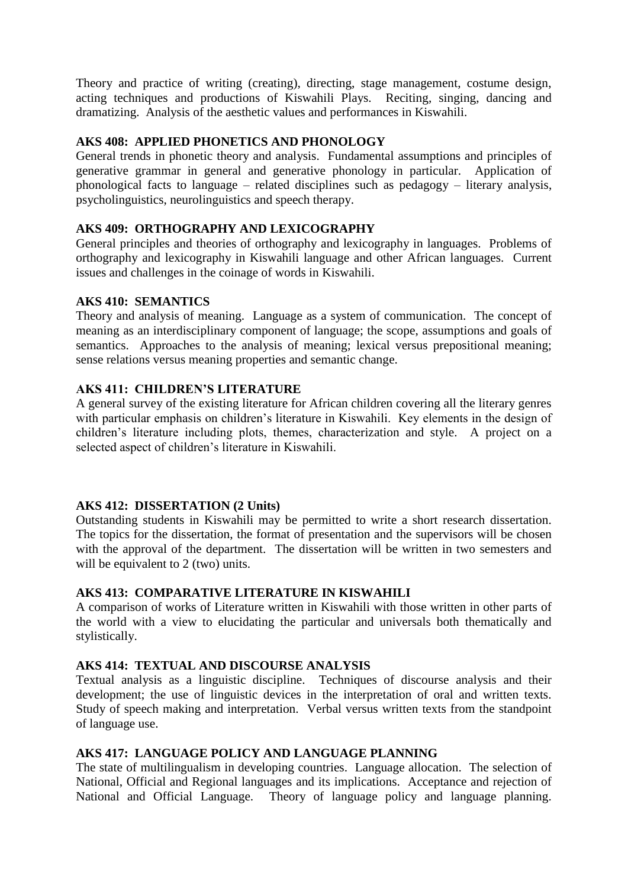Theory and practice of writing (creating), directing, stage management, costume design, acting techniques and productions of Kiswahili Plays. Reciting, singing, dancing and dramatizing. Analysis of the aesthetic values and performances in Kiswahili.

## **AKS 408: APPLIED PHONETICS AND PHONOLOGY**

General trends in phonetic theory and analysis. Fundamental assumptions and principles of generative grammar in general and generative phonology in particular. Application of phonological facts to language – related disciplines such as pedagogy – literary analysis, psycholinguistics, neurolinguistics and speech therapy.

### **AKS 409: ORTHOGRAPHY AND LEXICOGRAPHY**

General principles and theories of orthography and lexicography in languages. Problems of orthography and lexicography in Kiswahili language and other African languages. Current issues and challenges in the coinage of words in Kiswahili.

### **AKS 410: SEMANTICS**

Theory and analysis of meaning. Language as a system of communication. The concept of meaning as an interdisciplinary component of language; the scope, assumptions and goals of semantics. Approaches to the analysis of meaning; lexical versus prepositional meaning; sense relations versus meaning properties and semantic change.

# **AKS 411: CHILDREN'S LITERATURE**

A general survey of the existing literature for African children covering all the literary genres with particular emphasis on children's literature in Kiswahili. Key elements in the design of children's literature including plots, themes, characterization and style. A project on a selected aspect of children's literature in Kiswahili.

### **AKS 412: DISSERTATION (2 Units)**

Outstanding students in Kiswahili may be permitted to write a short research dissertation. The topics for the dissertation, the format of presentation and the supervisors will be chosen with the approval of the department. The dissertation will be written in two semesters and will be equivalent to 2 (two) units.

### **AKS 413: COMPARATIVE LITERATURE IN KISWAHILI**

A comparison of works of Literature written in Kiswahili with those written in other parts of the world with a view to elucidating the particular and universals both thematically and stylistically.

# **AKS 414: TEXTUAL AND DISCOURSE ANALYSIS**

Textual analysis as a linguistic discipline. Techniques of discourse analysis and their development; the use of linguistic devices in the interpretation of oral and written texts. Study of speech making and interpretation. Verbal versus written texts from the standpoint of language use.

### **AKS 417: LANGUAGE POLICY AND LANGUAGE PLANNING**

The state of multilingualism in developing countries. Language allocation. The selection of National, Official and Regional languages and its implications. Acceptance and rejection of National and Official Language. Theory of language policy and language planning.